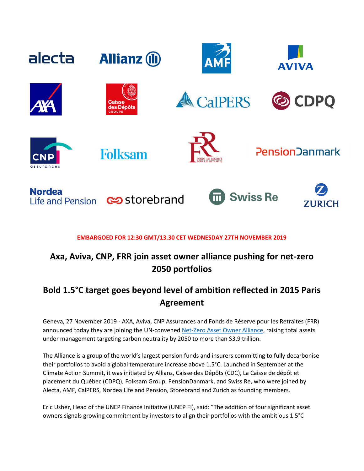

### **EMBARGOED FOR 12:30 GMT/13.30 CET WEDNESDAY 27TH NOVEMBER 2019**

# **Axa, Aviva, CNP, FRR join asset owner alliance pushing for net-zero 2050 portfolios**

## **Bold 1.5°C target goes beyond level of ambition reflected in 2015 Paris Agreement**

Geneva, 27 November 2019 - AXA, Aviva, CNP Assurances and Fonds de Réserve pour les Retraites (FRR) announced today they are joining the UN-convened [Net-Zero Asset Owner Alliance,](https://www.unepfi.org/net-zero-alliance/) raising total assets under management targeting carbon neutrality by 2050 to more than \$3.9 trillion.

The Alliance is a group of the world's largest pension funds and insurers committing to fully decarbonise their portfolios to avoid a global temperature increase above 1.5°C. Launched in September at the Climate Action Summit, it was initiated by Allianz, Caisse des Dépôts (CDC), La Caisse de dépôt et placement du Québec (CDPQ), Folksam Group, PensionDanmark, and Swiss Re, who were joined by Alecta, AMF, CalPERS, Nordea Life and Pension, Storebrand and Zurich as founding members.

Eric Usher, Head of the UNEP Finance Initiative (UNEP FI), said: "The addition of four significant asset owners signals growing commitment by investors to align their portfolios with the ambitious 1.5°C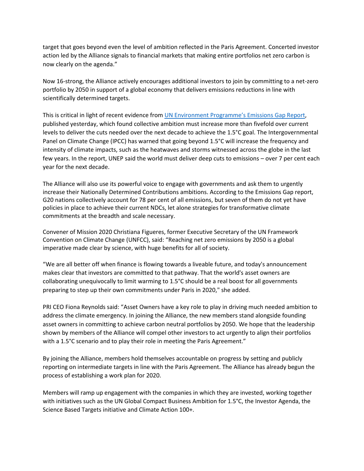target that goes beyond even the level of ambition reflected in the Paris Agreement. Concerted investor action led by the Alliance signals to financial markets that making entire portfolios net zero carbon is now clearly on the agenda."

Now 16-strong, the Alliance actively encourages additional investors to join by committing to a net-zero portfolio by 2050 in support of a global economy that delivers emissions reductions in line with scientifically determined targets.

This is critical in light of recent evidence from [UN Environment Programme's Emission](https://www.unenvironment.org/resources/emissions-gap-report-2019)s Gap Report, published yesterday, which found collective ambition must increase more than fivefold over current levels to deliver the cuts needed over the next decade to achieve the 1.5°C goal. The Intergovernmental Panel on Climate Change (IPCC) has warned that going beyond 1.5°C will increase the frequency and intensity of climate impacts, such as the heatwaves and storms witnessed across the globe in the last few years. In the report, UNEP said the world must deliver deep cuts to emissions – over 7 per cent each year for the next decade.

The Alliance will also use its powerful voice to engage with governments and ask them to urgently increase their Nationally Determined Contributions ambitions. According to the Emissions Gap report, G20 nations collectively account for 78 per cent of all emissions, but seven of them do not yet have policies in place to achieve their current NDCs, let alone strategies for transformative climate commitments at the breadth and scale necessary.

Convener of Mission 2020 Christiana Figueres, former Executive Secretary of the UN Framework Convention on Climate Change (UNFCC), said: "Reaching net zero emissions by 2050 is a global imperative made clear by science, with huge benefits for all of society.

"We are all better off when finance is flowing towards a liveable future, and today's announcement makes clear that investors are committed to that pathway. That the world's asset owners are collaborating unequivocally to limit warming to 1.5°C should be a real boost for all governments preparing to step up their own commitments under Paris in 2020," she added.

PRI CEO Fiona Reynolds said: "Asset Owners have a key role to play in driving much needed ambition to address the climate emergency. In joining the Alliance, the new members stand alongside founding asset owners in committing to achieve carbon neutral portfolios by 2050. We hope that the leadership shown by members of the Alliance will compel other investors to act urgently to align their portfolios with a 1.5°C scenario and to play their role in meeting the Paris Agreement."

By joining the Alliance, members hold themselves accountable on progress by setting and publicly reporting on intermediate targets in line with the Paris Agreement. The Alliance has already begun the process of establishing a work plan for 2020.

Members will ramp up engagement with the companies in which they are invested, working together with initiatives such as the UN Global Compact Business Ambition for 1.5°C, the Investor Agenda, the Science Based Targets initiative and Climate Action 100+.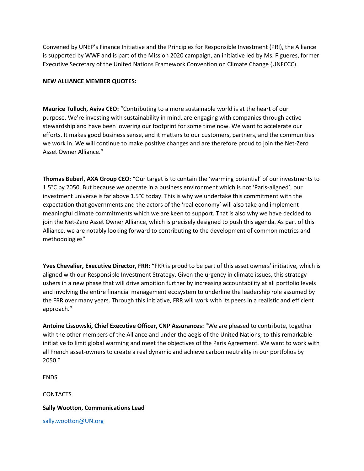Convened by UNEP's Finance Initiative and the Principles for Responsible Investment (PRI), the Alliance is supported by WWF and is part of the Mission 2020 campaign, an initiative led by Ms. Figueres, former Executive Secretary of the United Nations Framework Convention on Climate Change (UNFCCC).

#### **NEW ALLIANCE MEMBER QUOTES:**

**Maurice Tulloch, Aviva CEO:** "Contributing to a more sustainable world is at the heart of our purpose. We're investing with sustainability in mind, are engaging with companies through active stewardship and have been lowering our footprint for some time now. We want to accelerate our efforts. It makes good business sense, and it matters to our customers, partners, and the communities we work in. We will continue to make positive changes and are therefore proud to join the Net-Zero Asset Owner Alliance."

**Thomas Buberl, AXA Group CEO:** "Our target is to contain the 'warming potential' of our investments to 1.5°C by 2050. But because we operate in a business environment which is not 'Paris-aligned', our investment universe is far above 1.5°C today. This is why we undertake this commitment with the expectation that governments and the actors of the 'real economy' will also take and implement meaningful climate commitments which we are keen to support. That is also why we have decided to join the Net-Zero Asset Owner Alliance, which is precisely designed to push this agenda. As part of this Alliance, we are notably looking forward to contributing to the development of common metrics and methodologies"

**Yves Chevalier, Executive Director, FRR:** "FRR is proud to be part of this asset owners' initiative, which is aligned with our Responsible Investment Strategy. Given the urgency in climate issues, this strategy ushers in a new phase that will drive ambition further by increasing accountability at all portfolio levels and involving the entire financial management ecosystem to underline the leadership role assumed by the FRR over many years. Through this initiative, FRR will work with its peers in a realistic and efficient approach."

**Antoine Lissowski, Chief Executive Officer, CNP Assurances:** "We are pleased to contribute, together with the other members of the Alliance and under the aegis of the United Nations, to this remarkable initiative to limit global warming and meet the objectives of the Paris Agreement. We want to work with all French asset-owners to create a real dynamic and achieve carbon neutrality in our portfolios by 2050."

ENDS

CONTACTS

#### **Sally Wootton, Communications Lead**

[sally.wootton@UN.org](mailto:sally.wootton@UN.org)